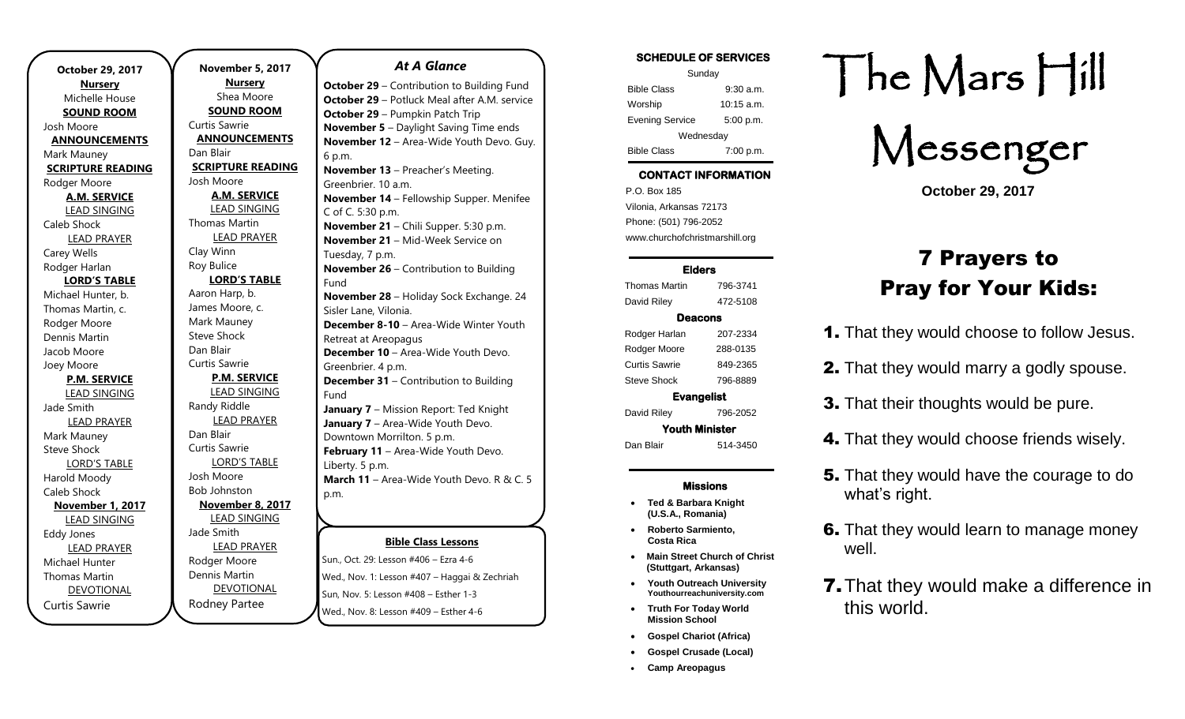| October 29, 2017         |
|--------------------------|
| <b>Nursery</b>           |
| Michelle House           |
| <b>SOUND ROOM</b>        |
| Josh Moore               |
| <b>ANNOUNCEMENTS</b>     |
| Mark Mauney              |
| <b>SCRIPTURE READING</b> |
| Rodger Moore             |
| <b>A.M. SERVICE</b>      |
| <b>LEAD SINGING</b>      |
| Caleb Shock              |
| <b>LEAD PRAYER</b>       |
| <b>Carey Wells</b>       |
| Rodger Harlan            |
| <b>LORD'S TABLE</b>      |
| Michael Hunter, b.       |
| Thomas Martin, c.        |
| Rodger Moore             |
| Dennis Martin            |
| Jacob Moore              |
| Joey Moore               |
| <b>P.M. SERVICE</b>      |
| <b>LEAD SINGING</b>      |
| Jade Smith               |
| <b>LEAD PRAYER</b>       |
| Mark Mauney              |
| <b>Steve Shock</b>       |
| <b>LORD'S TABLE</b>      |
| Harold Moody             |
| Caleb Shock              |
| <b>November 1, 2017</b>  |
| <b>LEAD SINGING</b>      |
| <b>Eddy Jones</b>        |
| <b>LEAD PRAYER</b>       |
| Michael Hunter           |
| <b>Thomas Martin</b>     |
| <b>DEVOTIONAL</b>        |
| <b>Curtis Sawrie</b>     |

.

**November 5, 2017 Nursery** Shea Moore **SOUND ROOM** Curtis Sawrie **ANNOUNCEMENTS** Dan Blair **SCRIPTURE READING** Josh Moore **A.M. SERVICE** LEAD SINGING Thomas Martin LEAD PRAYER Clay Winn Roy Bulice **LORD'S TABLE** Aaron Harp, b. James Moore, c. Mark Mauney Steve Shock Dan Blair Curtis Sawrie **P.M. SERVICE** LEAD SINGING Randy Riddle LEAD PRAYER Dan Blair Curtis Sawrie LORD'S TABLE Josh Moore Bob Johnston **November 8, 2017** LEAD SINGING Jade Smith LEAD PRAYER Rodger Moore Dennis Martin DEVOTIONAL

Rodney Partee

### *At A Glance*

**Bible Class Lessons October 29** – Contribution to Building Fund **October 29** – Potluck Meal after A.M. service **October 29** – Pumpkin Patch Trip **November 5** – Daylight Saving Time ends **November 12** – Area-Wide Youth Devo. Guy. 6 p.m. **November 13** – Preacher's Meeting. Greenbrier. 10 a.m. **November 14** – Fellowship Supper. Menifee C of C. 5:30 p.m. **November 21** – Chili Supper. 5:30 p.m. **November 21** – Mid-Week Service on Tuesday, 7 p.m. **November 26** – Contribution to Building Fund **November 28** – Holiday Sock Exchange. 24 Sisler Lane, Vilonia. **December 8-10** – Area-Wide Winter Youth Retreat at Areopagus **December 10** - Area-Wide Youth Devo. Greenbrier. 4 p.m. **December 31 – Contribution to Building** Fund **January 7** – Mission Report: Ted Knight **January 7** – Area-Wide Youth Devo. Downtown Morrilton. 5 p.m. **February 11** – Area-Wide Youth Devo. Liberty. 5 p.m. **March 11** – Area-Wide Youth Devo. R & C. 5 p.m.

Sun., Oct. 29: Lesson #406 – Ezra 4-6 Wed., Nov. 1: Lesson #407 – Haggai & Zechriah Sun, Nov. 5: Lesson #408 - Esther 1-3 **Wed., Nov. 8: Lesson #409 – Esther 4-6 July 21-24** – VBS 2018

| <b>SCHEDULE OF SERVICES</b> |                      |  |
|-----------------------------|----------------------|--|
| Sunday                      |                      |  |
| <b>Bible Class</b>          | $9:30$ a.m.          |  |
| Worship                     | $10:15 \text{ a.m.}$ |  |
| <b>Evening Service</b>      | 5:00 p.m.            |  |
| Wednesday                   |                      |  |
| <b>Bible Class</b>          | 7:00 p.m.            |  |

# CONTACT INFORMATION

. .o. Box 166<br>Vilonia, Arkansas 72173 P.O. Box 185 Phone: (501) 796-2052 www.churchofchristmarshill.org

### Elders

Thomas Martin 796-3741 David Riley 472-5108 Deacons Rodger Harlan 207-2334 Rodger Moore 288-0135 Curtis Sawrie 849-2365 Steve Shock 796-8889 Evangelist David Riley 796-2052

Youth Minister Dan Blair 514-3450

### Missions

- **Ted & Barbara Knight (U.S.A., Romania)**
- **Roberto Sarmiento, Costa Rica**
- **Main Street Church of Christ (Stuttgart, Arkansas)**
- **Youth Outreach University Youthourreachuniversity.com**
- **Truth For Today World Mission School**
- **Gospel Chariot (Africa)**
- **Gospel Crusade (Local)**
- **Camp Areopagus**

# The Mars Hill

Messenger

**October 29, 2017**

# 7 Prayers to Pray for Your Kids:

- **1.** That they would choose to follow Jesus.
- 2. That they would marry a godly spouse.
- **3.** That their thoughts would be pure.
- 4. That they would choose friends wisely.
- **5.** That they would have the courage to do what's right.
- **6.** That they would learn to manage money well.
- **7.** That they would make a difference in this world.